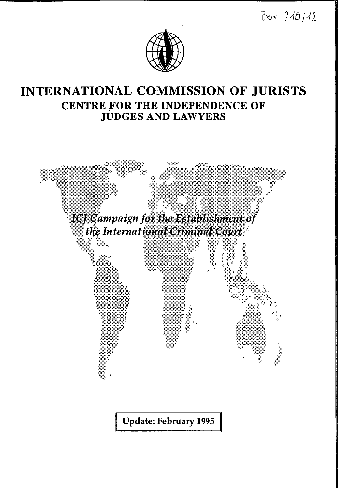$Bos 215/12$ 



## **INTERNATIONAL COMMISSION OF JURISTS CENTRE FOR THE INDEPENDENCE OF JUDGES AND LAWYERS**

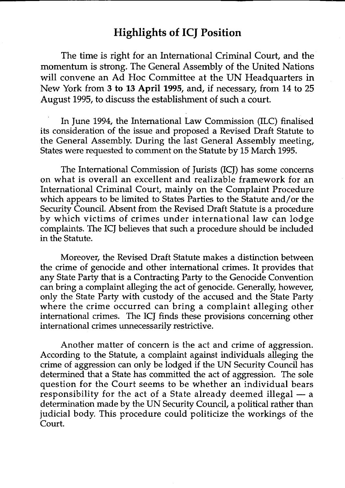## **Highlights of ICJ Position**

**The time is right for an International Criminal Court, and the momentum is strong. The General Assembly of the United Nations will convene an Ad Hoc Committee at the UN Headquarters in New York from 3 to 13 April 1995, and, if necessary, from 14 to 25 August 1995, to discuss the establishment of such a court.**

**In June 1994, the International Law Commission (ILC) finalised its consideration of the issue and proposed a Revised Draft Statute to the General Assembly. During the last General Assembly meeting, States were requested to comment on the Statute by 15 March 1995.**

**The International Commission of Jurists (ICJ) has some concerns on what is overall an excellent and realizable framework for an International Criminal Court, mainly on the Complaint Procedure which appears to be limited to States Parties to the Statute and/or the Security Council. Absent from the Revised Draft Statute is a procedure** by which victims of crimes under international law can lodge **complaints. The ICJ believes that such a procedure should be included in the Statute.**

**Moreover, the Revised Draft Statute makes a distinction between the crime of genocide and other international crimes. It provides that any State Party that is a Contracting Party to the Genocide Convention can bring a complaint alleging the act of genocide. Generally, however, only the State Party with custody of the accused and the State Party where the crime occurred can bring a complaint alleging other international crimes. The ICJ finds these provisions concerning other international crimes unnecessarily restrictive.**

**Another matter of concern is the act and crime of aggression. According to the Statute, a complaint against individuals alleging the crime of aggression can only be lodged if the UN Security Council has determined that a State has committed the act of aggression. The sole question for the Court seems to be whether an individual bears responsibility for the act of a State already deemed illegal — a determination made by the UN Security Council, a political rather than judicial body. This procedure could politicize the workings of the Court.**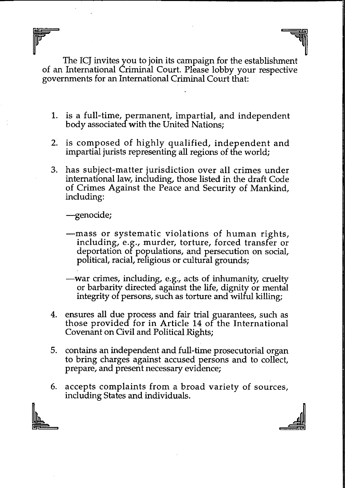**The ICJ invites you to join its campaign for the establishment of an International Criminal Court. Please lobby your respective governments for an International Criminal Court that:**

- **1. is a full-time, permanent, impartial, and independent body associated with the United Nations;**
- **2. is com posed of highly qualified, independent and impartial jurists representing all regions of the world;**
- **3. has subject-matter jurisdiction over all crimes under international law, including, those listed in the draft Code of Crimes Against the Peace and Security of Mankind, including:**

**—genocide;**

- **mass or system atic violations of hum an rights, including, e.g., murder, torture, forced transfer or deportation or populations, and persecution on social, political, racial, religious or cultural grounds;**
- **—war crimes, including, e.g., acts of inhumanity, cruelty or barbarity directed against the life, dignity or mental integrity or persons, such as torture and wilful killing;**
- **4. ensures all due process and fair trial guarantees, such as those provided for in Article 14 of the International Covenant on Civil and Political Rights;**
- **5. contains an independent and full-time prosecutorial organ to bring charges against accused persons and to collect, prepare, and present necessary evidence;**
- **6. accepts complaints from a broad variety of sources, including States and individuals.**